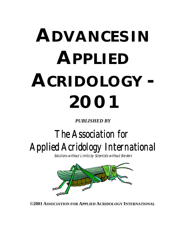# **ADVANCES IN APPLIED ACRIDOLOGY - 2001**

*PUBLISHED BY*

# The Association for Applied Acridology International

Solutions without Limits by Scientists without Borders



**©2001 ASSOCIATION FOR APPLIED ACRIDOLOGY INTERNATIONAL**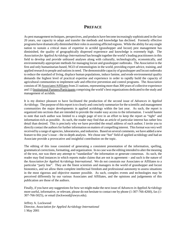# **PREFACE**

As pest management techniques, perspectives, and products have become increasingly sophisticated in the last 20 years, our capacity to adapt and transfer the methods and knowledge has declined. Formerly effective programs have dramatically diminished their roles in assisting afflicted regions. While the ability for any single nation to sustain a critical mass of expertise in acridid (grasshopper and locust) pest management has diminished, the quality of geographically dispersed experience and knowledge is extremely high. The *Association for Applied Acridology International* has brought together the world's leading practitioners in this field to develop and provide unbiased analyses along with culturally, technologically, economically, and environmentally appropriate methods for managing locust and grasshopper outbreaks. The *Association* is the first and only humanitarian-based, NGO of entomologists in the world, providing expert advice, training, and applied research to people and nations in need. The demonstrable capacity of grasshopper and locust outbreaks to reduce the standard of living, displace human populations, induce famine, and erode environmental quality demands the highest level of practical expertise and experience in order to rapidly build the capacity of agricultural communities to implement safe and effective prevention and control programs. The *Association* consists of 30 Associates/Affiliates from 21 nations, representing more than 300 years of collective experience and 13 Institutional Partners/Participants comprising the world's best organizations dedicated to the study and management of acridids.

It is my distinct pleasure to have facilitated the production of the second issue of *Advances in Applied Acridology*. The purpose of this report is to clearly and concisely summarize for the scientific and management communities the major developments in applied acridology within the last year. As such, the report is organized into sections that are intended to provide the reader easy access to the information. I would hasten to note that each author was limited to a single page of text in an effort to keep the report as "tight" and information-rich as possible. As such, the reader may find that an article of particular interest has rather less detail than desired. This is precisely why we have provided the email address of each author; I invite you to directly contact the authors for further information on matters of compelling interest. This format was very well received by a range of agencies, laboratories, and industries. Based on several comments, we have added a new feature to this year's issue – the in-depth analysis. We chose one "hot" field of applied acridology and had an Associate provide a provocative and insightful contribution on the topic.

The editing of this issue consisted of generating a consistent presentation of the information, spelling, grammatical corrections, formatting, and organization. In no case was the editing intended to alter the meaning of the text, nor was there any attempt to "standardize" the information or generate consensus. As such, the reader may find instances in which reports make claims that are not in agreement – and such is the nature of the *Association for Applied Acridology International*. We do not constrain our Associates or Affiliates to a particular "party line". They are the finest scientists and managers in the world of grasshopper and locust bionomics, and we allow them complete intellectual freedom and professional autonomy to assess situations in the most rigorous and objective manner possible. As such, complex events and technologies may be perceived differently by our various Associates and Affiliates, and the opinions and judgements of this publication are those of the authors.

Finally, if you have any suggestions for how we might make the next issue of *Advances in Applied Acridology* more useful, informative, or relevant, please do not hesitate to contact me by phone (1-307-766-4260), fax (1- 307-766-5025), or email (lockwood@uwyo.edu).

Jeffrey A. Lockwood Director, *Association for Applied Acridology International* 1 May 2001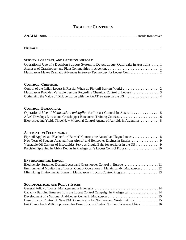# **TABLE OF CONTENTS**

# **SURVEY, FORECAST, AND DECISION SUPPORT**

| Operational Use of a Decision Support System to Detect Locust Outbreaks in Australia1 |  |
|---------------------------------------------------------------------------------------|--|
|                                                                                       |  |
| Madagascar Makes Dramatic Advances in Survey Technology for Locust Control 2          |  |

# **CONTROL: CHEMICAL**

| Madagascar Provides Valuable Lessons Regarding Chemical Control of Locusts 3 |  |
|------------------------------------------------------------------------------|--|
|                                                                              |  |

# **CONTROL: BIOLOGICAL**

| Operational Use of <i>Metarhizium anisopliae</i> for Locust Control in Australia 5  |  |
|-------------------------------------------------------------------------------------|--|
|                                                                                     |  |
| Bioprospecting Yields Three New Microbial Control Agents of Acridids in Argentina 8 |  |

# **APPLICATION TECHNOLOGY**

| Fipronil Applied as "Blanket" or "Barrier" Controls the Australian Plague Locust 8    |  |
|---------------------------------------------------------------------------------------|--|
|                                                                                       |  |
| Vegetable Oil Carriers of Insecticides Serve as Liquid Baits for Acridids in the US 9 |  |
|                                                                                       |  |

# **ENVIRONMENTAL IMPACT**

| Environmental Monitoring of Locust Control Operations in Malaimbandy, Madagascar 12 |  |
|-------------------------------------------------------------------------------------|--|
| Minimizing Environmental Harm in Madagascar's Locust Control Program 13             |  |

# **SOCIOPOLITICAL AND POLICY ISSUES**

| Capacity Building Emerges from the Locust Control Campaign in Madagascar 14       |  |
|-----------------------------------------------------------------------------------|--|
|                                                                                   |  |
|                                                                                   |  |
| FAO Launches EMPRES program for Desert Locust Control Northern/Western Africa  16 |  |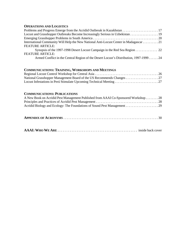# **OPERATIONS AND LOGISTICS**

| Locust and Grasshopper Outbreaks Become Increasingly Serious in Uzbekistan 19          |  |
|----------------------------------------------------------------------------------------|--|
|                                                                                        |  |
| International Community Will Help the New National Anti-Locust Center in Madagascar 21 |  |
| <b>FEATURE ARTICLE:</b>                                                                |  |
| Synopsis of the 1997-1998 Desert Locust Campaign in the Red Sea Region 22              |  |
| <b>FEATURE ARTICLE:</b>                                                                |  |
| Armed Conflict in the Central Region of the Desert Locust's Distribution, 1997-1999 24 |  |
|                                                                                        |  |

# **COMMUNICATIONS: TRAINING, WORKSHOPS AND MEETINGS**

# **COMMUNICATIONS: PUBLICATIONS**

| A New Book on Acridid Pest Management Published from AAAI Co-Sponsored Workshop 28 |  |
|------------------------------------------------------------------------------------|--|
|                                                                                    |  |
|                                                                                    |  |

|--|--|--|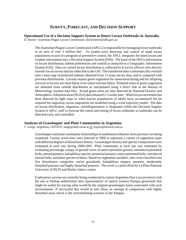# **SURVEY, FORECAST, AND DECISION SUPPORT**

#### **Operational Use of a Decision Support System to Detect Locust Outbreaks in Australia**

*D. Hunter*, Australian Plague Locust Commission. david.hunter@affa.gov.au

The Australian Plague Locust Commission (APLC) is responsible for managing locust outbreaks in an area of over 3 million km<sup>2</sup>. To enable early detection and control of small locust populations as part of a program of preventive control, the APLC integrates the latest locust and weather information into a Decision Support System (DSS). The basis of the DSS is information on locust distribution, habitat preferences and rainfall as analyzed in a Geographic Information System (GIS). Data on current locust distribution is collected by 8 survey officers who directly transfer locust survey data by radio link to the GIS. The transferred data is automatically overlaid onto a base map of preferred habitats obtained from 13 years survey data, and is compared with previous distributions. Locusts require green vegetation for maturation/laying and for offspring survival so locusts are more likely to be where rain has fallen. Potential areas of green vegetation are obtained from rainfall distribution as interpolated using a direct link to the Bureau of Meteorology weather data files. Actual green areas are later detected by National Oceanic and Atmospheric Administration (NOAA) data obtained 2-3 weeks later. When locust movement has been detected by light traps or when known populations of adults have accumulated the fat required for migration, locust migrations are modelled using a wind trajectory model. The data on locust distribution, migration, rainfall/greenness is integrated within the Decision Support System to APLC staff to forecast the extent and timing of locust outbreaks so outbreaks can be detected early and controlled.

#### **Analyses of Grasshopper and Plant Communities in Argentina.**

*C. Lange,* Argentina, CEPAVE, lange@mail.retina.ar *or* cepave@netverk.com.ar

Grasshopper and plant community relationships in southeastern Buenos Aires province are being examined. Twenty seven sites were selected in 2000 to represent a variety of vegetation types with different degrees of disturbance history. Grasshopper density and species composition were estimated at each site during 2000-2001. Plant community at each site was estimated by evaluating percentage canopy of ground cover of native perennial grasses, introduced perennial forbs, annual pastures, halophilous species, perennial pastures, native perennial forbs, introduced annual forbs, and plant species richness. Based on vegetation variables, sites were classified into five disturbance categories: native grasslands, halophilous steppes, pastures, moderately disturbed pastures and highly disturbed pastures. The work is a joint effort by La Plata National University (UNLP) and Benito Juárez county.

Exploratory surveys are currently being conducted in central Argentina (San Luis province) with the aim at finding undisturbed sites representative of typical western Pampas grasslands that might be useful for tracing what would be the original grasshopper fauna associated with such environments. If successful this would in turn allow an attempt at comparison with highly disturbed areas which is the overwhelming scenario in the Pampas.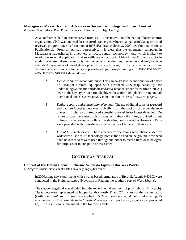#### **Madagascar Makes Dramatic Advances in Survey Technology for Locust Control.**

*R. Brown*, South Africa, Plant Protection Research Institute, rietdb@plant2.agric.za

At a conference held in Antananarivo from 14-15 December 2000, the national locust control organisation, CNLA, announced the closure of its emergency locust campaign in Madagascar and reviewed progress since its formation in 1998 (Randrianosolo *et al*, 2000; see Communications: Publications). From an African perspective, it is clear that the emergency campaign in Madagascar has ushered in a new era of locust control technology - one which is likely to revolutionize aerial application and surveillance of locusts in Africa in the  $21<sup>st</sup>$  century. As in modern warfare, where necessity is the mother of invention (and resources suddenly become available!), a number of novel developments occurred during this locust emergency. These developments are described under appropriate headings; those pertaining to SURVEY,FORECAST, AND DECISION SUPPORT detailed here:

- ! *Dedicated aerial reconnaissance*: This campaign saw the introduction of a fleet of ultralight aircraft, equipped with advanced GPS map capability, for undertaking systematic and dedicated aerial reconnaissance for swarms. CNLA's "eye in the sky" type operation deployed these ultralight planes throughout all operational zones, systematically combing remote areas for swarm targets.
- ! *Digital capture and transmission of images*: The use of digital cameras to record and capture locust targets electronically, from the cockpit of reconnaissance planes in flight, also introduced something novel in to locust detection. On return to base these electronic images, with their GPS fixes, provided instant online information to controllers. Besides this, donors in either Brussels or Paris were provided with immediate visual evidence of targets on their e-mail.
- ! *Use of GPS technology*: These emergency operations were characterised by widespread use of GPS technology, both in the air and on the ground. Advanced hand held receivers were used throughout, either to record fixes or to navigate for purposes of interception or assessment.

# **CONTROL: CHEMICAL**

#### **Control of the Italian Locust in Russia: When do Fipronil Barriers Work?**

*M. Sergeev*, Russia, Novosibirsk State University, mgs@fen.nsu.ru

In 2000, some new experiments with a water-based formulation of fipronil, Adonis® 40EC, were conducted in the Kulunda steppe (Novosibirsk Region, the southern part of West Siberia).

The steppe rangeland was divided into the experimental and control plots (about 10 ha each). The targets were represented by hopper bands (mostly  $1<sup>st</sup>$  and  $2<sup>nd</sup>$  instars) of the Italian locust (*Calliptamus italicus*). Fipronil was applied to 50% of the experimental plot, by alternating, 15 m wide swaths. The dose rate in the "barriers" was 4 g of a.i. per ha (i.e., 2 g of a.i. per protected ha). The results are summarized in the following table.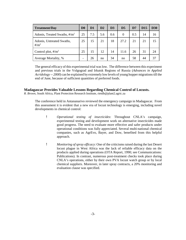| <b>Treatment/Day</b>                                       | D <sub>0</sub> | D <sub>1</sub> | D2  | D <sub>3</sub> | D <sub>5</sub> | D <sub>7</sub> | D <sub>15</sub> | <b>D30</b> |
|------------------------------------------------------------|----------------|----------------|-----|----------------|----------------|----------------|-----------------|------------|
| Adonis, Treated Swaths, $\frac{\text{#}}{\text{m}^2}$      | 25             | 7.5            | 5.6 | 0.6            | $\theta$       | 0.5            | 14              | 16         |
| Adonis, Untreated Swaths,<br>$\frac{\text{H}}{\text{m}^2}$ | 25             | 15             | 21  | 18             | 27.2           | 21             | 21              | 15         |
| Control plot, $\#/m^2$                                     | 25             | 15             | 12  | 14             | 11.6           | 26             | 31              | 24         |
| Average Mortality, %                                       |                | 26             | no  | 34             | no             | 58             | 44              | 37         |

The general efficacy of this experimental trial was low. The difference between this experiment and previous trials in the Volgograd and Irkutsk Regions of Russia (*Advances in Applied Acridology -- 2000*) can be explained by extremely low levels of young hopper migrations till the end of June, because of sufficient quantities of preferred foods.

#### **Madagascar Provides Valuable Lessons Regarding Chemical Control of Locusts.**

*R. Brown*, South Africa, Plant Protection Research Institute, rietdb@plant2.agric.za

The conference held in Antananarivo reviewed the emergency campaign in Madagascar. From this assessment it is evident that a new era of locust technology is emerging, including novel developments in chemical control:

- ! *Operational testing of insecticides*: Throughout CNLA's campaign, experimental testing and development work on alternative insecticides made good progress. The need to evaluate more effective and safer products under operational conditions was fully appreciated. Several multi-national chemical companies, such as AgrEvo, Bayer, and Dow, benefited from this helpful approach.
- ! *Monitoring of spray efficacy*: One of the criticisms raised during the last Desert locust plague in West Africa was the lack of reliable efficacy data on the products applied during operations (OTA Report, 1990; see Communications: Publications). In contrast, numerous post-treatment checks took place during CNLA's operations, either by their own PVA locust watch group or by local chemical suppliers. Moreover, in later spray contracts, a 20% monitoring and evaluation clause was specified.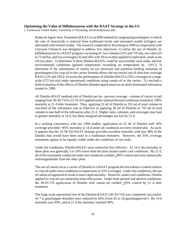#### **Optimizing the Value of Diflubenzuron with the RAAT Strategy in the US.**

*J. Lockwood*, United States, University of Wyoming, lockwood@uwyo.edu

Reduced Agent-Area Treatment (RAAT) is an IPM method for rangeland grasshoppers in which the rate of insecticide is reduced from traditional levels and untreated swaths (refuges) are alternated with treated swaths. The research conducted in Wyoming in 2000 in cooperation with Uniroyal Chemical was designed to address five objectives: 1) refine the use of Dimilin 2L (diflubenzuron) in a RAAT program via testing of: two volumes (355 and 710 ml), two rates (55 to 73 ml/ha), and two coverages (33 and 50% with 30 m swaths) applied to replicated, small-scale (16 ha) plots; 2) determine if these Dimilin-RAATs could be successfully used under adverse environmental conditions (ground temperature exceeding air temperature by  $\geq 10^{\circ}$ C); 3) determine if the substitution of canola oil (an attractant and potential feeding stimulant of grasshoppers) for crop oil in the carrier formula allows the successful use of ultra-low coverage RAATs (25 and 33%); 4) assess the performance of Dimilin-RAATs (33% coverage) in a largescale (372 ha) trial under operational conditions using canola oil as the carrier; 5) conclude a field evaluation of the effects of Dimilin (blanket application) on an adult-dominated infestation treated in 1999.

All Dimilin-RAAT methods (ml of Dimilin per ha - percent coverage - volume of carrier in ml) ranging from 30-50-710 to 22-33-355 applied under optimal thermal conditions resulted in >98% mortality at 21 d after treatment. Thus, applying 22 ml of Dimilin in 355 ml of total volume to one-third of the infestation was as effective as applying 30 ml of Dimilin in 710 ml of total volume to one-half of the infestation after 21 d. Higher rates, volumes, and coverages may lead to greater mortality at 14 d, but these marginal advantages are lost by 21 d.

In a striking consistency with our 1999 studies, application of 22 ml of Dimilin with 50% coverage provided >85% mortality at 14 d under all conditions on every treated plot. As such, it appears that the 22-50-355 RAAT strategy provides excellent mortality with just 38% of the Dimilin that would have been used in a traditional treatment. However, the 33% coverage treatments appear to be equally viable under the conditions of our trials.

Under hot conditions, Dimilin-RAATs were somewhat less effective. At 14 d, the mortality in these plots was generally 5 to 10% lower than the plots treated under cool conditions. By 21 d, all of the treatments conducted under hot conditions yielded >90% control and were statistically indistinguishable from the other plots.

The use of canola oil as a carrier of Dimilin in a RAAT program did not enhance control relative to crop oil under most conditions (comparisons of 33% coverage). Under hot conditions, the use of canola oil appeared to result in more rapid mortality. However, under cool conditions, Dimilin applied in crop oil was somewhat more efficacious. Under both optimal and adverse conditions, the 30-25-710 application of Dimilin with canola oil yielded  $\geq$ 95% control by 21 d after treatment.

The large-scale operational test of the Dimilin-RAATs (30-33-710) was completely successful. At 7 d, grasshopper densities were reduced by 64% (from 42 to 18 grasshoppers/m<sup>2</sup>). By 14 d mortality was 93%, and at 21 d the mortality reached 96%.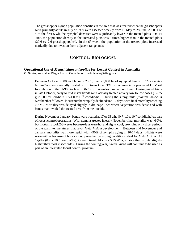The grasshopper nymph population densities in the area that was treated when the grasshoppers were primarily adults in July of 1999 were assessed weekly from 15 May to 28 June, 2000. For 4 of the first 5 wk, the nymphal densities were significantly lower in the treated plots. On 14 June, the population density in the untreated plots was 8-times higher than in the treated plots (20.6 *vs.* 2.6 grasshoppers/m<sup>2</sup>). In the  $6<sup>th</sup>$  week, the population in the treated plots increased markedly due to invasion from adjacent rangelands.

# **CONTROL: BIOLOGICAL**

#### **Operational Use of** *Metarhizium anisopliae* **for Locust Control in Australia**

*D. Hunter*, Australian Plague Locust Commission. david.hunter@affa.gov.au

Between October 2000 and January 2001, over 23,000 ha of nymphal bands of *Chortoicetes terminifera* were aerially treated with Green GuardTM, a commercially produced ULV oil formulation of the FI-985 isolate of *Metarhizium anisopliae* var. *acridum*. During initial trials in late October, early to mid instar bands were aerially treated at very low to low doses (12-25 g in 500 mL oil/ha =  $0.5{\text -}1.0 \times 10^{12}$  conidia/ha). During the sunny, mild (maxima 20-27°C) weather that followed, locust numbers rapidly declined in 8-12 days, with final mortality reaching >90%. Mortality was delayed slightly in drainage lines where vegetation was dense and with bands that invaded the treated area from the outside.

During November-January, bands were treated at 17 or 25 g/ha (0.7-1.0 x  $10^{12}$  conidia/ha) as part of locust control operations. With nymphs treated in early November final mortality was >80%, but mortality took 2-3 weeks because days were hot and nights cool, providing only short periods of the warm temperatures that favor *Metarhizium* development. Between mid November and January, mortality was more rapid, with >90% of nymphs dying in 10-14 days. Nights were warm either because of hot or cloudy weather providing conditions ideal for *Metarhizium*. At 17g/ha (0.7 x  $10^{12}$  conidia/ha), Green GuardTM costs \$US 4/ha, a price that is only slightly higher than most insecticides. During the coming year, Green Guard will continue to be used as part of an integrated locust control program.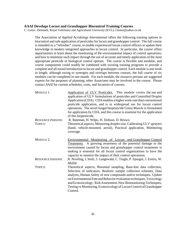#### **AAAI Develops Locust and Grasshopper Biocontrol Training Courses**

*C. Lomer*, Denmark, Royal Veterinary and Agricultural University (KVL), clomer@yahoo.co.uk

The *Association of Applied Acridology International* offers the following training options in biocontrol and safe application of pesticides for locust and grasshopper control. The full course is intended as a "refresher" course, to enable experienced locust control officers to update their knowledge in modern integrated approaches to locust control. In particular, the course offers opportunities to learn about the monitoring of the environmental impact of control operations, and how to minimize such impact through the use of accurate and timely application of the most appropriate pesticide or biological control options. The course is flexible and modular, and course components could readily be combined with existing training programs to provide a complete and all-round introduction to locust and grasshopper control. Each module is one week in length, although owing to synergies and overlaps between courses, the full course of six modules can be completed in one month. For each module, the resource persons are suggested experts for the purposes of planning; other Associates may be involved in the course. Please contact *AAAI* for current schedules, costs, and locations of courses.

| MODULE 1.                | Application of ULV Pesticides. This module covers the use and<br>application of ULV formulations of pesticides and Controlled Droplet<br>Application (CDA). CDA enables a higher work-rate than conventional<br>pesticide application, and is in widespread use for locust control<br>operations. The novel fungal biopesticide Green Muscle is formulated<br>for application by CDA, and this course is essential for the application<br>of this biopesticide. |
|--------------------------|-----------------------------------------------------------------------------------------------------------------------------------------------------------------------------------------------------------------------------------------------------------------------------------------------------------------------------------------------------------------------------------------------------------------------------------------------------------------|
| <b>RESOURCE PERSONS:</b> | R. Bateman, H. Wilps, H. Dobson, D. Brown.                                                                                                                                                                                                                                                                                                                                                                                                                      |
| TOPICS:                  | Theoretical aspects, Measuring droplet size, Calibrating ULV sprayers<br>(hand, vehicle-mounted, aerial), Practical application, Monitoring<br>coverage.                                                                                                                                                                                                                                                                                                        |
| $M$ ODULE 2.             | <u>Environmental Monitoring of Locust and Grasshopper Control</u><br>Treatments. A growing awareness of the potential damage to the<br>environment caused by locust and grasshopper control treatments is<br>making it essential for all locust control organizations to have the<br>capacity to monitor the impact of their control operations.                                                                                                                |
| <b>RESOURCE PERSONS:</b> | R. Peveling, I. Stolz, J. Langewald, C. Tingle, P. Spurgin, J. Everts, W.<br>Mullié                                                                                                                                                                                                                                                                                                                                                                             |
| TOPICS:                  | Theoretical aspects, Binomial sampling, Base-line data collection,<br>Selection of indicators, Realistic sample collection schemes, Data<br>analysis, Human Safety of new compounds and/or techniques, Update<br>on Environmental Fate and Behavior evaluation techniques, Toxicology<br>and Ecotoxicology, Risk Assessment, New Biomonitoring Techniques,<br>Testing vs Monitoring, Ecotoxicology of Locust Control of Grasshopper<br>Control.                 |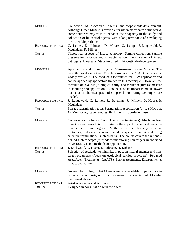| MODULE 3.                                  | Collection of biocontrol agents and biopesticide development.<br>Although Green Muscle is available for use in many parts of the world,<br>some countries may wish to enhance their capacity in the study and<br>collection of biocontrol agents, with a long-term view of developing<br>their own biopesticide.                                                                                                                                                                                                                       |
|--------------------------------------------|----------------------------------------------------------------------------------------------------------------------------------------------------------------------------------------------------------------------------------------------------------------------------------------------------------------------------------------------------------------------------------------------------------------------------------------------------------------------------------------------------------------------------------------|
| <b>RESOURCE PERSONS:</b>                   | C. Lomer, D. Johnson, D. Moore, C. Lange, J. Langewald, B.<br>Maghalaes, R. Milner                                                                                                                                                                                                                                                                                                                                                                                                                                                     |
| TOPICS:                                    | Theoretical aspects of insect pathology, Sample collection, Sample<br>preservation, storage and characterization, Identification of insect<br>pathogens, Bioassays, Steps involved in biopesticide development.                                                                                                                                                                                                                                                                                                                        |
| MODULE 4.                                  | Application and monitoring of <i>Metarhizium</i> /Green Muscle. The<br>recently developed Green Muscle formulation of <i>Metarhizium</i> is now<br>widely available. The product is formulated for ULV application and<br>can be applied by applicators trained in this technique. However, the<br>formulation is a living biological entity, and as such requires some care<br>in handling and application. Also, because its impact is much slower<br>than that of chemical pesticides, special monitoring techniques are<br>needed. |
| <b>RESOURCE PERSONS:</b>                   | J. Langewald, C. Lomer, R. Bateman, R. Milner, D. Moore, B.<br>Maghalaes                                                                                                                                                                                                                                                                                                                                                                                                                                                               |
| TOPICS:                                    | Storage (germination test), Formulation, Application (or see MODULE<br>1), Monitoring (cage samples, field counts, sporulation tests).                                                                                                                                                                                                                                                                                                                                                                                                 |
| MODULE 5.                                  | Conservation Biological Control (selective treatments). Much has been<br>done in recent years to try to minimize the impact of chemical pesticide<br>treatments on non-targets. Methods include choosing selective<br>pesticides, reducing the area treated (strips and bands), and using<br>selective formulations, such as baits. The course covers the rationale<br>behind such concepts (methods for monitoring non-targets are included<br>in MODULE 2), and methods of application.                                              |
| <b>RESOURCE PERSONS:</b><br><b>TOPICS:</b> | J. Lockwood, N. Foster, D. Johnson, H. Dobson<br>Selection of pesticides to minimize impact on natural enemies and non-<br>target organisms (focus on ecological service providers), Reduced<br>Area/Agent Treatments (RAATS), Barrier treatments, Environmental<br>impact evaluation.                                                                                                                                                                                                                                                 |
| MODULE 6.                                  | General Acridology. AAAI members are available to participate in<br>fuller courses designed to complement the specialized Modules<br>mentioned above.                                                                                                                                                                                                                                                                                                                                                                                  |
| <b>RESOURCE PERSONS:</b><br>TOPICS:        | <b>AAAI</b> Associates and Affiliates<br>Designed in consultation with the client.                                                                                                                                                                                                                                                                                                                                                                                                                                                     |
|                                            |                                                                                                                                                                                                                                                                                                                                                                                                                                                                                                                                        |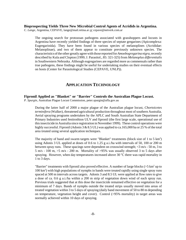#### **Bioprospecting Yields Three New Microbial Control Agents of Acridids in Argentina.**

*C. Lange,* Argentina, CEPAVE, lange@mail.retina.ar *or* cepave@netverk.com.ar

The ongoing search for protozoan pathogens associated with grasshoppers and locusts in Argentina have recently yielded findings of three species of septate gregarines (Apicomplexa: Eugregarinida). They have been found in various species of melanoplines (Acrididae: Melanoplinae), and two of them appear to constitute previously unknown species. The characteristics of the other greatly agree with those reported for *Amoebogregarina nigra*, recently described by Kula and Clopton (1999; J. Parasitol., 85: 321-325) from *Melanoplus differentialis* in Southwestern Nebraska. Although eugregarines are regarded more as commensals rather than true pathogens, these findings might be useful for undertaking studies on their eventual effects on hosts (Center for Parasitological Studies (CEPAVE, UNLP)).

# **APPLICATION TECHNOLOGY**

#### **Fipronil Applied as "Blanket" or "Barrier" Controls the Australian Plague Locust.**

*P. Spurgin*, Australian Plague Locust Commission, peter.spurgin@affa.gov.au

During the latter half of 2000 a major plague of the Australian plague locust, *Chortoicetes terminifera* (Walker), threatened agricultural production throughout most of southern Australia. Aerial spraying programs undertaken by the APLC and South Australian State Department of Primary Industries used fenitrothion ULV and fipronil (the first large scale, operational use of this insecticide in Australia since registration in November 1999). These control operations were highly successful. Fipronil (Adonis 3 & 8.5 UL) was applied to ca.165,000 ha or 25 % of the total area treated using several application techniques.

The majority of band and swarm targets were "Blanket" treatments (block size of 1 to 5  $\text{km}^2$ ) using Adonis 3 UL applied at doses of 0.6 to 1.25 g a.i./ha with intervals of 50, 100 or 200 m between spray runs. These spacings were dependent on crosswind strength;  $\langle 3 \text{ m/s - 50 m}, 3 \text{ to } \rangle$ 5 m/s - 100 m, >5 m/s - 200 m. Mortality of >95% was usually observed 3 to 5 days after spraying. However, when day temperatures increased above 30  $^{\circ}$ C there was rapid mortality in 1 to 3 days.

"Barrier" treatments with fipronil also proved effective. A number of large blocks ( $>$ 5 km<sup>2</sup> up to 100 km2 ) with high populations of nymphs in bands were treated rapidly using single spray runs spaced at 500 m intervals across targets. Adonis 3 and 8.5 UL were applied at flow rates to give a dose of ca. 0.6 g a.i./ha within a 200 m strip of vegetation down wind of each spray run. Previous trials suggested that at this dose the insecticide remained effective on vegetation for a minimum of 7 days. Bands of nymphs outside the treated strips usually moved into areas of treated vegetation within 3 to 5 days of spraying (daily band movement of 50 to 80 m depending on temperature, vegetation height and cover). Control (>95% mortality) in target areas was normally achieved within 10 days of spraying.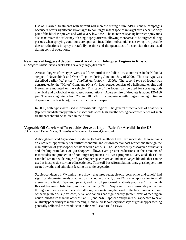Use of "Barrier" treatments with fipronil will increase during future APLC control campaigns because it offers significant advantages to non-target insect species in target areas because only part of the block is sprayed and with a very low dose. The increased spacing between spray runs also maximizes the efficiency of a single spray aircraft, allowing more areas to be targeted during periods when spraying conditions are optimal. In addition, substantial cost savings are possible due to reductions in spray aircraft flying time and the quantities of insecticide that are used during control operations.

#### **New Tests of Foggers Adapted from Aricraft and Helicopter Engines in Russia.**

*M. Sergeev*, Russia, Novosibirsk State University, mgs@fen.nsu.ru

Aerosol foggers of two types were used for control of the Italian locust outbreaks in the Kulunda steppe of Novosibirsk and Omsk Regions during June and July of 2000. The first type was described earlier (*Advances in Applied Acridology -- 2000*). The second type of fogger was constructed by the "Motor" Company (Omsk). Each fogger consists of a helicopter engine and 8 atomizers mounted on the vehicle. This type of the fogger can be used for spraying both chemical and biological water-based formulations. Average size of droplets is about 120-160  $\mu$ m. The working rate is from 200 to 810 ha/hr. In comparison with foggers having optimum dispersion (the first type), this construction is cheaper.

In 2000, both types were used in Novosibirsk Regions. The general effectiveness of treatments (fipronil and different pyrethroid insecticides) was high, but the ecological consequences of such treatments should be studied in the future.

#### **Vegetable Oil Carriers of Insecticides Serve as Liquid Baits for Acridids in the US.**

*J. Lockwood*, United States, University of Wyoming, lockwood@uwyo.edu

Although Reduced Agent-Area Treatment (RAAT) methods have been successful, there remains an excellent opportunity for further economic and environmental cost reductions through the manipulation of grasshopper behavior with plant oils. The use of recently discovered attractants and feeding stimulants of grasshoppers allows even greater reductions in the amounts of insecticides and protection of non-target organisms in RAAT programs. Fatty acids that elicit cannibalism in a wide range of grasshopper species are abundant in vegetable oils that can be used as inexpensive carriers of insecticides. These oil-based formulations draw grasshoppers into treated swaths and stimulate feeding on toxic vegetation.

Studies conducted in Wyoming have shown that three vegetable oils (corn, olive, and canola) had significantly greater levels of attraction than other oils at 1, 8, and 24 h after application to small arenas in the field. Rapeseed, peanut, and flax oil performed relatively poorly at 1 h, although flax oil became substantially more attractive by 24 h. Soybean oil was reasonably attractive throughout the course of the study, although not matching the level of the best three oils. Four of the vegetable oils (flax, corn, olive, and canola) had significantly greater levels of feeding on neutral substrates than the other oils at 1, 8, and 24 h. Rapeseed and peanut oils appeared to have relatively poor ability to induce feeding. Controlled, laboratory bioassays of grasshopper feeding generally reflected the trends seen in the small-scale field assays.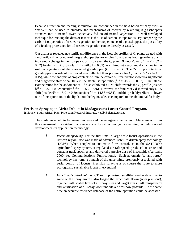Because attraction and feeding stimulation are confounded in the field-based efficacy trials, a "marker" can be used to elucidate the mechanisms of control by revealing if grasshoppers attracted into a treated swath selectively fed on oil-treated vegetation. A well-developed technique for tracking the diets of insects is the use of carbon isotope ratios. By comparing the carbon isotope ratios of treated vegetation to the crop contents of a grasshopper, the possibility of a feeding preference for oil-treated vegetation can be directly assessed.

Our analyses revealed no significant difference in the isotopic profiles of  $C_3$  plants treated with canola oil, and hence none of the grasshopper tissue samples from species feeding on these plants indicated a change in the isotope ratios. However, the C<sub>4</sub> plant (*B. dactyloides*;  $\delta^{13}$  = -14.62 ± 0.32) treated with C<sub>3</sub> (canola;  $\delta^{13} = -28.81 \pm 0.05$ ) translated into substantial changes in the isotopic signatures of the associated grasshopper (*O. obscura*). The 2-d crop contents of grasshoppers outside of the treated area reflected their preference for C<sub>4</sub> plants ( $\delta^{13}$  = -14.41  $\pm$ 0.15), while the analysis of crop contents within the canola oil-treated plot showed a significant and diagnostic shift of ca. 10% in the stable isotope ratio ( $\delta^{13}$  = -15.75  $\pm$  0.52). The stable isotope ratios for the abdomens at 7 d also exhibited a 10% shift towards the  $C_4$  profile (inside:  $\delta^{13} = -16.97 \pm 0.82$ ; outside:  $\delta^{13} = -15.55 \pm 0.36$ ). However, the femurs at 7 d showed only a 1% shift (inside:  $\delta^{13} = -15.01 \pm 0.30$ ; outside:  $\delta^{13} = -14.88 \pm 0.51$ ), and this probably reflects a slower rate of incorporation of the lipids into the leg muscle, as compared to the abdominal fat body.

#### **Precision Spraying in Africa Debuts in Madagascar's Locust Control Program.**

*R. Brown*, South Africa, Plant Protection Research Institute, rietdb@plant2.agric.za

The conference held in Antananarivo reviewed the emergency campaign in Madagascar. From this assessment it is evident that a new era of locust technology is emerging, including novel developments in application technology:

- ! *Precision spraying*: For the first time in large-scale locust operations in the African region, use was made of advanced, satellite-driven spray technology (DGPS). When coupled to automatic flow control, as in the SATLOC® agricultural spray system, it regulated aircraft speed, produced accurate and constant track spacings and delivered a precise dose of insecticide (Agricair, 2000; see Communications: Publications). Such automatic 'set-and-forget' technology has removed much of the uncertainty previously associated with aerial control of locusts. Precision spraying is of course the route to more ecologically sustainable locust intervention!
- ! *Functional control databank*: The computerised, satellite-based system fitted to some of the spray aircraft also logged the exact path flown (with print-out), together with spatial fixes of all spray sites and target areas. Full transparency and verification of all spray-work undertaken was now possible. At the same time an accurate reference database of the entire operation could be accessed.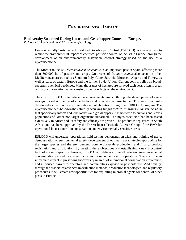# **ENVIRONMENTAL IMPACT**

#### **Biodiversity Sustained During Locust and Grasshopper Control in Europe.**

*D. Moore*, United Kingdom, CABI, d.moore@cabi.org

Environmentally Sustainable Locust and Grasshopper Control (ESLOCO) is a new project to reduce the environmental impact of chemical pesticide control of locusts in Europe through the development of an environmentally sustainable control strategy based on the use of a mycoinsecticide.

The Moroccan locust, *Dociostaurus maroccanus*, is an important pest in Spain, affecting more than 500,000 ha of pasture and crops. Outbreaks of *D. maroccanus* also occur in other Mediterranean areas, such as Southern Italy, Crete, Sardinia, Morocco, Algeria and Turkey, as well as parts of eastern Europe and the former Soviet Union. Current control relies on broadspectrum chemical pesticides. Many thousands of hectares are sprayed each year, often in areas of major conservation value, causing adverse effects on the environment.

The aim of ESLOCO is to reduce this environmental impact through the development of a new strategy, based on the use of an effective and reliable mycoinsecticide. This was previously developed for use in Africa by international collaboration through the LUBILOSA program. The mycoinsecticide is based on the naturally occurring fungus *Metarhizium anisopliae* var. *acridum* that specifically infects and kills locusts and grasshoppers. It is not toxic to humans and leaves populations of other non-target organisms unharmed. The mycoinsecticide has been tested extensively in Africa and its safety and efficacy are proven. The product is registered in South Africa and has been approved by the Desert locust Pesticide Referee Group of the FAO for operational locust control in conservation and environmentally sensitive areas.

ESLOCO will undertake: operational field testing, demonstration trials and training of users, demonstration of environmental safety, development of optimum use strategies appropriate for the target species and the environment, commercial-scale production, and finally, product registration and distribution. By meeting these objectives and establishing a new biocontrol technology and capacity in Europe, ESLOCO will deliver an overall reduction in environmental contamination caused by current locust and grasshopper control operations. There will be an immediate impact in preserving biodiversity in areas of international conservation importance, and a reduced hazard to operators and communities exposed to pesticide use. Additionally, through the associated advances in evaluation methods, production technologies, and regulatory procedures, it will create new opportunities for exploiting microbial agents for control of other pests in Europe.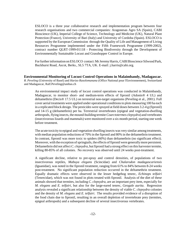ESLOCO is a three year collaborative research and implementation program between four research organisations and two commercial companies: Aragonesas Agro SA (Spain), CABI Bioscience (UK), Imperial College of Science, Technology and Medicine (UK), Natural Plant Protection (France), University of Bari (Italy) and University of Cordoba (Spain). ESLOCO is supported by the European Commission through the Quality of Life and Management of Living Resources Programme implemented under the Fifth Framework Programme (1999-2002), contract number QLRT-1999-01118 - Protecting Biodiversity through the Development of Environmentally Sustainable Locust and Grasshopper Control in Europe.

For further information on ESLOCO contact: Mr Jeremy Harris, CABI Bioscience Silwood Park, Buckhurst Road, Ascot, Berks., SL5 7TA, UK. E-mail: j.harris@cabi.org.

#### **Environmental Monitoring of Locust Control Operations in Malaimbandy, Madagascar.**

*R. Peveling* (University of Basel) and *Harizo Rasolomanana* (Office National pour l'Environnement), Switzerland and Madagascar, Ralf.Peveling@unibas.ch

An environmental impact study of locust control operations was conducted in Malaimbandy, Madagascar, to monitor short- and medium-term effects of fipronil (Adonis® 4 UL) and deltamethrin (Decis® 17.5 UL) on terrestrial non-target organisms (Peveling et al., 2001). Full cover aerial treatments were applied under operational conditions to plots measuring 100 ha each in a replicated block design. The pesticides were sprayed at field doses between 3.2-4 g (fipronil) and 14-15 g (deltamethrin) per ha. Terrestrial invertebrates (epigeal and vegetation-dwelling arthropods, flying insects, the mound-building termite *Coarctotermes clepsydra*) and vertebrates (insectivorous lizards and mammals) were monitored over a six month period, starting one week before treatment.

The acute toxicity to epigeal and vegetation-dwelling insects was very similar among treatments, with median population reductions of 70% in the fipronil and 80% in the deltamethrin treatment. In contrast, fipronil was more toxic to spiders (60%) than deltamethrin (no significant effect). Moreover, with the exception of springtails, the effects of fipronil were generally more persistent. Deltamethrin did not affect *C. clepsydra*, but fipronil had a strong effect on this harvester termite, killing 80-85% of all colonies. No recovery was observed until 24 weeks post-treatment.

A significant decline, relative to pre-spray and control densities, of populations of two insectivorous reptiles, *Mabuya elegans* (Scincidae) and *Chalarodon madagascariensis* (Iguanidae), was noted in the fipronil treatment, ranging from 61% to 84% between 8-24 weeks post-treatment. No significant population reduction occurred in the deltamethrin treatment. Equally dramatic effects were observed in the lesser hedgehog tenrec, *Echinops telfairi* (Tenrecidae), which was not found in plots treated with fipronil. Analysis of the diet of these animals showed that termites, including *C. clepsydra*, are an important prey item, especially for *M. elegans* and *E. telfairi*, but also for the large-eared tenrec, *Geogale aurita*. Regression analysis revealed a significant relationship between the density of viable *C. clepsydra* colonies and the density of *M. elegans* and *E. telfairi*. The results provided evidence of a disruption of the food chain due to fipronil, resulting in an overall depletion of invertebrate prey (termites, epigeal arthropods) and a subsequent decline of several insectivorous vertebrates.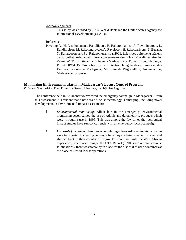#### Acknowledgments

This study was funded by ONE, World Bank and the United States Agency for International Development (USAID).

#### Reference

Peveling R., H. Rasolomanana, Raholijaona, R. Rakotomianina, A. Ravoninjatovo, L. Randimbison, M. Rakotondravelo, A. Raveloson, H. Rakotoarivony, S. Bezaka, N. Ranaivoson, and J-J. Rafanomezantsoa. 2001. Effets des traitements aériens de fipronil et de deltaméthrine en couverture totale sur la chaîne alimentaire. In: Zehrer W (Ed.) Lutte antiacridienne à Madagascar - Tome II Ecotoxicologie. Projet DPV/GTZ Promotion de la Protection Intégréé des Cultures et des Denrées Stockées à Madagscar, Ministère de l'Agriculture, Antananarivo, Madagascar. (in press)

#### **Minimizing Environmental Harm in Madagascar's Locust Control Program.**

*R. Brown*, South Africa, Plant Protection Research Institute, rietdb@plant2.agric.za

The conference held in Antananarivo reviewed the emergency campaign in Madagascar. From this assessment it is evident that a new era of locust technology is emerging, including novel developments in environmental impact assessment:

- ! *Environmental monitoring*: Albeit late in the emergency, environmental monitoring accompanied the use of Adonis and deltamethrin, products which were in routine use in 1999. This was among the few times that ecological impact studies have run concurrently with an emergency locust campaign.
- ! *Disposal of containers*: Empties accumulating at forward bases in this campaign were transported to clearing centres, where they are being cleaned, crushed and shipped back to their country of origin. This contrasts with the West African experience, where according to the OTA Report (1990; see Communications: Publications), there was no policy in place for the disposal of used containers at the close of Desert locust operations.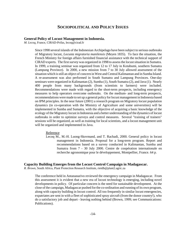# **SOCIOPOLITICAL AND POLICY ISSUES**

#### **General Policy of Locust Management in Indonesia.**

*M. Lecoq*, France, CIRAD-Prifas, lecoq@cirad.fr

Since 1998 several islands of the Indonesian Archipelago have been subject to serious outbreaks of Migratory locust, *Locusta migratoria manilensis* (Meyen 1835). To face the situation, the French Ministry for foreign affairs furnished financial assistance with the technical support of CIRAD experts. The first survey was organized in 1998 to assess the locust situation in Sumatra. In 1999, a training seminar was organized from 12 to 17 July in Kotabumi, southern Sumatra (Lampung Province). In 2000, a new mission from 7 to 30 July allowed assessment of the situation which is still an object of concern in West and Central Kalimantan and in Sumba Island. A re-assessment was also performed in South Sumatra and Lampung Provinces. One-day seminars were organized in Kalimantan (2), Sumba (1), South Sumatra (2), and Java (1). Nearly 400 people from many backgrounds (from scientists to farmers) were included. Recommendations were made with regard to the short-term prospects, including emergency measures to help operators overcome outbreaks. On the medium- and long-term prospects, recommendations were made to set up a general policy for locust management in Indonesia based on IPM principles. In the near future (2001) a research program on Migratory locust population dynamics (in co-operation with the Ministry of Agriculture and some universities) will be implemented in Sumba and Sumatra, with the objective of acquiring a basic knowledge of the ecology of the Migratory locust in Indonesia and a better understanding of the dynamics of locust outbreaks in order to optimize surveys and control measures. Several "training of trainers" sessions will be organized, as well as training for local scientists, and a locust management unit will be organized and implemented in Java.

#### Reference

Lecoq M., M.-H. Luong-Skovmand, and T. Rachadi, 2000. General policy in locust management in Indonesia. Proposal for a long-term program. Report and recommendations based on a survey conducted in Kalimantan, Sumba and Sumatra from 7 - 30 July 2000. Centre de coopération internationale en recherche agronomique pour le développement, Montpellier, France. 64 p.

#### **Capacity Building Emerges from the Locust Control Campaign in Madagascar.**

*R. Brown*, South Africa, Plant Protection Research Institute, rietdb@plant2.agric.za

The conference held in Antananarivo reviewed the emergency campaign in Madagascar. From this assessment it is evident that a new era of locust technology is emerging, including novel developments in policy. Of particular concern is the need for sustainable development. At the close of the campaign, Madagascar pushed for the co-ordination and running of its own program, along with capacity building in locust control. All too frequently in similar locust emergencies, expatriates are sent in with a fleet of sophisticated spray aircraft (from the donor country!), who do a satisfactory job and depart - leaving nothing behind (Brown, 1999; see Communications: Publications).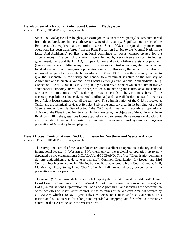#### **Development of a National Anti-Locust Center in Madagascar.**

*M. Lecoq*, France, CIRAD-Prifas, lecoq@cirad.fr

Since 1997 Madagascar has fought against a major invasion of the Migratory locust which started from the outbreak area in the south-western zone of the country. Significant outbreaks of the Red locust also required many control measures. Since 1998, the responsibility for control operations has been transferred from the Plant Protection Service to the "Comité National de Lutte Anti-Acridienne" (CNLA, a national committee for locust control created for the circumstance). The control operations were funded by very diverse sources, including: government, the World Bank, FAO, European Union and various bilateral assistance programs (France and others). After many months of intensive control operations, the plague is not finished yet and many gregarious populations remain. However, the situation is definitely improved compared to those which prevailed in 1998 and 1999. It was thus recently decided to give the responsibility for survey and control to a perennial structure of the Ministry of Agriculture and to create a National Anti Locust Center (Centre National Antiacridien: CNA). Created on 12 April 2000, the CNA is a publicly-owned establishment which has administrative and financial autonomy and will be in charge of locust monitoring and control on all the national territories in remission as well as during invasion periods. The CNA must have all the necessary capabilities (financial, material, and human) and make all the decisions and directives for efficient locust control over all the territory. The administration of the CNA is located at Tuléar and the technical services at Betioky-Sud (in the outbreak area) in the buildings of the old "Centre Antiacridien de Betrioky-Sud," the CAB, which was until recently an operational division of the Plant Protection Service. In the short term, the objective of the CNA must be to finish controlling the gregarious locust populations and to re-establish a recession situation. It also must start to set up the basis of a perennial preventive control system for long-term prevention of Migratory locust plagues.

# **Desert Locust Control: A new FAO Commission for Northern and Western Africa.**

*M. Lecoq*, France, CIRAD-Prifas, lecoq@cirad.fr

The survey and control of the Desert locust requires excellent co-operation at the regional and international levels. In Western and Northern Africa, the regional co-operation up to now depended on two organizations: OCLALAV and CLCPANO. The first ("Organisation commune de lutte antiacridienne et de lutte antiaviaire"; Common Organization for Locust and Bird Control), involves ten countries (Benin, Burkina Faso, Cameroun, Ivory Coast, Gambia, Mali, Mauritania, Niger, Senegal and Chad) of which half are not directly concerned with the preventive control operations.

The second ("Commission de lutte contre le Criquet pèlerin en Afrique du Nord-Ouest"; Desert locust Control Commission for North-West Africa) organization functions under the aegis of FAO (United Nations Organization for Food and Agriculture), and it ensures the coordination of the activities of Desert locust control in the countries of the Western Area not covered by OCLALAV, which is to say Algeria, Libya, Morocco and Tunisia, and also Mauritania. This institutional situation was for a long time regarded as inappropriate for effective preventive control of the Desert locust in the Western area.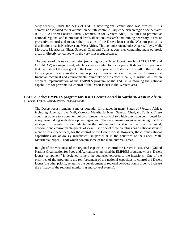Very recently, under the aegis of FAO, a new regional commission was created. This commission is called the "Commission de lutte contre le Criquet pèlerin en région occidentale" (CLCPRO; Desert Locust Control Commission for Western Area). Its aim is to promote at national, regional and international levels all actions, research and training necessary to ensure preventive control and to face the invasions of the Desert locust in the Western part of its distribution area, in Northwest and West Africa. This commission includes Algeria, Libya, Mali, Morocco, Mauritania, Niger, Senegal, Chad and Tunisia, countries containing main outbreak areas or directly concerned with the very first recrudescence.

The creation of this new commission (replacing for the Desert locust the roles of CLCPANO and OCLALAV) is a major event, which has been awaited for many years. It shows the importance that the States of the area grant to the Desert locust problem. It attests to the will of these States to be engaged in a renovated common policy of preventive control as well as to ensure the financial, technical and environmental durability of the effort. Finally, it augurs well for an efficient implementation of the EMPRES program of the FAO in reinforcing the national capabilities for preventative control of the Desert locust in the Western area.

#### **FAO Launches EMPRES program for Desert Locust Control in Northern/Western Africa.** *M. Lecoq*, France, CIRAD-Prifas, lecoq@cirad.fr

The Desert locust remains a major potential for plagues in many States of Western Africa, including: Algeria, Libya, Mali, Morocco, Mauritania, Niger, Senegal, Chad, and Tunisia. These countries adhere to a common policy of preventive control to which they have contributed for many years, along with development agencies. They are unanimous in recognizing that this strategy of prevention is well adapted to the problem and that it is justified from technical, economic and environmental points of view. Each one of these countries has a national service, more or less independent, for the control of the Desert locust. However, the current national capabilities are obviously insufficient, in particular in the countries of the Sahel (Mali, Mauritania, Niger, Chad) which contain some of the main outbreak areas.

In light of the weakness of the regional capacities to control the Desert locust, FAO (United Nations Organization for Food and Agriculture) launched the EMPRES program, whose "Desert locust component" is designed to help the countries exposed to the invasions. One of the priorities of the program is the reinforcement of the national capacities to control the Desert locust (the other priority relates to the development of regional co-operation in order to increase the efficacy of the regional monitoring and control system).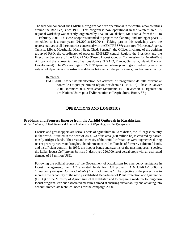The first component of the EMPRES program has been operational in the central area (countries around the Red Sea) since 1996. This program is now operational in the Western area. A regional workshop was recently organized by FAO in Nouakchott, Mauritania, from the 10 to 15 February 2001. This workshop was intended to prepare the planning and timing of phase 1, scheduled to last four years (01/2001to12/2004). Taking part in this workshop were the representatives of all the countries concerned with the EMPRES Western area (Morocco, Algeria, Tunisia, Libya, Mauritania, Mali, Niger, Chad, Senegal), the Officer in charge of the acridian group of FAO, the coordinator of program EMPRES central Region, the President and the Executive Secretary of the CLCPANO (Desert Locust Control Commission for North-West Africa), and the representatives of various donors (USAID, France, Germany, Islamic Bank of Development). The Western Region EMPRES program, whose planning and budgeting were the subject of dynamic and constructive debates between all the participants, has become a reality.

#### Reference

FAO, 2001. Atelier de planification des activités du programme de lutte préventive contre le Criquet pelerin en région occidentale (EMPRES). Phase 1: Janvier 2001-Décembre 2004. Nouakchott, Mauritanie, 10-15 février 2001. Organisation des Nations Unies pour l'Alimentation et l'Agriculture, Rome, 37 p.

# **OPERATIONS AND LOGISTICS**

#### **Problems and Progress Emerge from the Acridid Outbreak in Kazakhstan.**

*A. Latchininsky*, United States and Russia, University of Wyoming, latchini@uwyo.edu

Locusts and grasshoppers are serious pests of agriculture in Kazakhstan, the  $9<sup>th</sup>$  largest country in the world. Situated in the heart of Asia, 2/3 of its area (180 million ha) is covered by native, mostly arid grasslands. The areas and intensity of the acridid infestations were augmented during recent years by recurrent droughts, abandonment of  $>10$  million ha of formerly cultivated lands, and insufficient control. In 1999, the hopper bands and swarms of the most important species, the Italian locust *Calliptamus italicus* L. destroyed 220,000 ha of cereal crops with an estimated damage of 15 million USD.

Following the official request of the Government of Kazakhstan for emergency assistance in locust management, the FAO allocated funds for TCP project FAO/TCP/KAZ 0065(E) "*Emergency Program for the Control of Locust Outbreaks*." The objective of the project was to increase the capability of the newly established Department of Plant Protection and Quarantine (DPPQ) of the Ministry of Agriculture of Kazakhstan and to prepare a medium- to long-term locust program. Various associated measures aimed at ensuring sustainability and at taking into account immediate technical needs for the campaign 2000.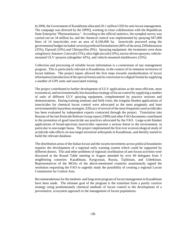In 2000, the Government of Kazakhstan allocated 20.1 million USD for anti-locust management. The campaign was directed by the DPPQ, working in close collaboration with the Republican State Enterprise "Phytosanitariya." According to the official statistics, the nymphal survey was carried out on 34 million ha, and the chemical control was implemented by spraying 947,000 liters of 14 insecticides over an area of 8,106,000 ha. Insecticide procured using the governmental budget included: several pyrethroid formulations (46% of the area), Diflubenzuron (35%), Fipronil (10%) and Chlorpyrifos (9%). Spraying equipment: the treatments were done using heavy Antonov-2 aircraft (15%), ultra-light aircraft (10%), tractor-driven sprayers, vehiclemounted ULV sprayers (altogether 42%), and vehicle-mounted mistblowers (33%).

Collection and processing of reliable locust information is a cornerstone of any management program. This is particularly relevant to Kazakhstan, in the context of its immense territories of locust habitats. The project inputs allowed the first steps towards standardization of locust information (introduction of the special forms) and its conversion to a digital format by supplying a number of GPS units and associated training.

The project contributed to further development of ULV applications as the most efficient, most economical, and environmentally less hazardous strategy of locust control by supplying a number of units of different ULV spraying equipment, complemented by practice sessions and demonstrations. During training seminars and field visits, the irregular blanket applications of insecticides for chemical locust control were advocated as the most pragmatic and least environmentally hazardous strategies. Efficacy of several of the most frequently used acridicides has been evaluated by independent experts contracted through the project. Translation into Russian of the last Pesticide Referee Group report (1999) and other FAO documents contributed to the promotion of good insecticide use practices advocated by the FAO. Large-scale blanket applications of broad-spectrum insecticides represent a serious threat to the environment, in particular to non-target fauna. The project implemented the first ever ecotoxicological study of acridicide side-effects on non-target terrestrial arthropods in Kazakhstan, and thereby started to build the relevant database.

The distribution areas of the Italian locust and the swarm movements across political boundaries requires the development of a regional early warning system which could be supported by different donors. This and other problems of regional coordination of anti-locust activities were discussed at the Round Table meeting in August attended by over 60 delegates from 5 neighboring countries: Kazakhstan, Kyrgyzstan, Russia, Tajikistan, and Uzbekistan. Representatives of the MOAs of the above-mentioned countries unanimously signed the resolution requesting the FAO to urgently study the possibility of creating a regional Locust Commission for Central Asia.

Recommendations for the medium- and long-term program of locust management in Kazakhstan have been made. The ultimate goal of the program is the transition from a purely curative strategy using predominantly chemical methods of locust control to the development of a preventative, ecosystem approach to the management of locust populations.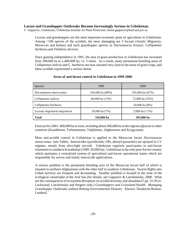#### **Locust and Grasshopper Outbreaks Become Increasingly Serious in Uzbekistan.**

*F. Gapparov*, Uzbekistan, Uzbekistan Institute for Plant Protection, furkat.gapparov@basf-uzb.prv.uz

Locusts and grasshoppers are the most important economic pests of agriculture in Uzbekistan. Among >100 species of the acridids, the most damaging are 3 locusts (Asiatic Migratory, Moroccan and Italian) and such grasshopper species as *Dociostaurus kraussi, Calliptamus barbarus,*and *Oedaleus decorus*.

Since gaining independence in 1991, the area of grain production in Uzbekistan has increased from 280,000 ha to 1,400,000 ha, i.e. 5 times. As a result, many permanent breeding areas of *Calliptamus italicus* and *C. barbarus* are now situated very close to the areas of grain crops, and these acridids represented a serious threat.

| <b>Species</b>                | 1999                  | <b>2000</b>           |
|-------------------------------|-----------------------|-----------------------|
| Dociostaurus maroccanus       | $250,000$ ha $(80\%)$ | 195,000 ha (67%)      |
| Calliptamus <i>italicus</i>   | 40,000 ha (13%)       | 72,000 ha (25%)       |
| Calliptamus barbarus          |                       | 24,000 ha (8%)        |
| Locusta migratoria migratoria | $20,000$ ha $(7%)$    | 2,000 ha $(\leq 1\%)$ |
| <b>Total</b>                  | 310,000 ha            | 293,000 ha            |

#### **Areas of anti-locust control in Uzbekistan in 1999-2000.**

Forecast for 2001: 400,000 ha to treat, including about 200,000 ha in the regions adjacent to other countries (Kazakhstan, Turkmenistan, Tadjikistan, Afghanistan and Kyrgyzstan).

Most anti-acridid control in Uzbekistan is applied to the Moroccan locust *Dociostaurus maroccanus* (see Table). Insecticides (pyrethroids, OPs, phenyl-pyrazoles) are sprayed in LV regimes, mostly from ultra-light aircraft. Uzbekistan regularly participates in anti-locust treatments in southern Kazakhstan (1999: 20,000 ha). Uzbekistan is the only post-Soviet country which maintains a centralized system of specialized anti-locust operational teams which are responsible for survey and timely insecticide applications.

A serious problem is the permanent breeding area of the Moroccan locust half of which is situated in northern Afghanistan with the other half in southern Uzbekistan. Swarm flights into Uzbek territory are frequent and devastating. Another problem is located in the zone of the ecological catastrophe of the Aral Sea [for details, see Gapparov & Latchininsky, 2000. What are the consequences of ecosystem disruption on acridid diversity and abundance? pp. 31-59 *in:* Lockwood, Latchininsky and Sergeev (eds.) *Grasshoppers and Grassland Health. Managing Grasshopper Outbreaks without Risking Environmental Disaster.* Kluwer: Dordrecht-Boston-London].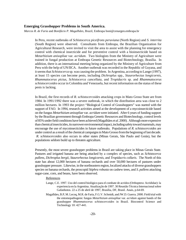#### **Emerging Grasshopper Problems in South America.**

*Marcos R. de Faria* and *Bonifácio P. Magalhães,* Brazil, Embrapa boni@cenargen.embrapa.br

In Peru, recent outbreaks of *Schistocerca piceifrons peruviana* (North Region) and *S. interrita* (South Region) were observed. Consultants from Embrapa, the Brazilian Organization for Agricultural Research, were invited to visit the area to assist with the planning for emergency control with chemical insecticide and for preventive control with a bioinsecticide based on *Metarhizium anisopliae* var. *acridum*. Two biologists from the Ministry of Agriculture were trained in fungal production at Embrapa Genetic Resources and Biotechnology, Brasília. In addition, there is an international meeting being organized by the Ministry of Agriculture from Peru with the help of UN/IICA. Another outbreak was recorded in the Republic of Guyana, and it seems that *Schistocerca* sp. was causing the problem. In Argentina, according to Lange (1997), at least 15 species can become pests, including *Dichroplus* spp., *Staurorhectus longicornis*, *Rhammatocerus pictus*, *Schistocerca cancellata,* and *Tropidacris* sp. and *Rhammatocerus schistocercoides* occur in Colombia and Venezuela, but recent information on the status of these pests is lacking.

In Brazil, the first records of *R. schistocercoides* attacking crops in Mato Groso State are from 1984. In 1991/1992 there was a severe outbreak, in which the distribution area was close to 2 million hectares. In 1993 the project "Biological Control of Grasshoppers" was started with the support of FAO. In 1994, research activities aimed at the development of a mycoinsecticide based on the fungus *Metarhizium anisopliae* var. *acridum* were initiated. After 6 years of funding support by the Brazilian government through Embrapa Genetic Resources and Biotechnology, control levels of 85% under field conditions have been achieved (Magalhães *et al.* 2000). Although more expensive than chemical insecticides, its narrower environmental impact, including safety toward mammals, may encourage the use of mycoinsecticides in future outbreaks. Populations of *R. schistocercoides* are under control as a result of the chemical campaigns in Mato Grosso from the beginning of last decade.  *R. schistocercoides* also occurs in other states (Minas Gerais, São Paulo and Goiás), but the populations seldom build up to threaten agriculture.

Presently, the most severe grasshopper problems in Brazil are taking place in Minas Gerais State. Pastures and irrigated banana are being attacked by a complex of species, such as *Schistocerca pallens*, *Dichroplus bergii*, *Staurorhectus longicornis*, and *Tropidacris collaris*. The North of this state has about 12,000 hectares of banana orchards and over 50,000 hectares of pastures under grasshopper pressure. Likewise, in the northeastern region, localized attacks of diverse grasshoppers species on banana orchards, the proscopid *Stiphra robusta* on cashew trees, and *S. pallens* attacking sugar-cane, corn, and beans, have been observed.

#### References

- Lange, C.E. 1997. Uso del control biológico para el combate de acridos (Orthoptera: Acrididae): la experiencia en la Argentina. Atualização de 1997. 30 Reunião Técnica Internacional sobre Gafanhotos. 22 a 25 de abril de 1997, Brasília, DF, Brasil. Anais, p.64-69.
- Magalhães, B.P, M. Lecoq, M.R. de Faria, F.G.V. Schmidt, and JW.D. Guerra. 2000. Field trial with the entomopathogenic fungus *Metarhizium anisopliae* var. *acridum* against bands of the grasshopper *Rhammatocerus schistocercoides* in Brazil. Biocontrol Science and Technology 10: 427-441.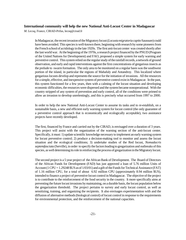#### **International community will help the new National Anti-Locust Center in Madagascar**

*M. Lecoq*, France, CIRAD-Prifas, lecoq@cirad.fr

In Madagascar, the recent invasion of the Migratory locust (*Locusta migratoria capito* Saussure) could have been avoided. This species is well-known there, beginning with research by some pioneers from the French school of acridology in the late 1920s. The first anti-locust center was created shortly after the last world war. At the beginning of the 1970s, a research project financed by the PNUD (Program of the United Nations for Development) and FAO, proposed a simple system for early warning and preventive control. This system relied on the regular study of the rainfall records, a network of ground observation, and early and rapid interventions against the first concentrations of gregarious insects as the prelude to swarm formation. The only area to be monitored on a regular basis was the southwest portion of the island, in particular the regions of Mahafaly and Antandroy. This localized where gregarious locusts develop and represents the source for the initiation of invasions. All the resources for a simple, effective, and inexpensive system of preventive control exist in Madagascar. In the past, this system functioned for a few years, then with a calming of the locust situation and developing economic difficulties, the resources were dispersed and the system became nonoperational. With the country stripped of any system of prevention and early control, all of the conditions were primed to allow an invasion to develop unrelentingly, and this is precisely what occurred from 1997 to 2000.

In order to help the new National Anti-Locust Center to assume its tasks and to re-establish, on a sustainable basis, a new and efficient early warning system for locust control (the only guarantee of a preventive control approach that is economically and ecologically acceptable), two assistance projects have recently developed.

The first, financed by France and carried out by the CIRAD, is envisaged over a duration of 3 years. This project will assist with the organization of the warning section of the anti-locust center. Specifically, it must: 1) update scientific knowledge necessary to implement an early warning system for locust preventive control; 2) produce a decision-making tool to monitor and assess the locust situation and the ecological conditions; 3) undertake studies of the Red locust, *Nomadacris septemfasciata* (Serville), in order to specify the factors leading to gregarization and outbreaks of this species, as well determining its role in reinforcing the process of gregarization in the Migratory locust.

The second project is a 5 year project of the African Bank of Development. The Board of Directors of the African Funds for Development (FAD) has just approved a loan of 5.76 million Units of Account (1 CPU = 1.29248 \$US as of 1/03/01) and a gift of the Funds for Technical Assistance (FAT) of 1.16 million CPU, for a total of about 6.92 million CPU (approximately 8.94 million \$US), intended to finance a project of preventive locust control in Madagascar. The objective of the project is to contribute to the reinforcement of the food security in the country. It more specifically aims at preventing the future locust invasions by maintaining, on a durable basis, the locust population below the gregarization threshold. The project pertains to survey and early locust control, as well as sensitizing, training, and organizing the recipients. It also envisages experimentation with and the diffusion of alternative methods (biological control) of locust control in response to the requirements for environmental protection, and the reinforcement of the national capacities.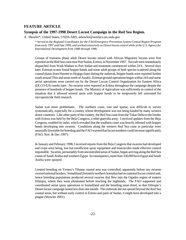### **FEATURE ARTICLE**

#### **Synopsis of the 1997-1998 Desert Locust Campaign in the Red Sea Region.**

*A. Showler*\*, United States, USDA-ARS, ashowler@weslaco.ars.usda.gov

*\* Served as the Regional Coordinator for the FAO/Emergency Prevention System Central Region Program from early 1997 until late 1999, and worked extensively on Desert locust control while at the U.S. Agency for International Development from 1988 through 1996.* 

Groups of transiens phase adult Desert locusts mixed with African Migratory locusts were first reported on the Red Sea coast near Port Sudan, Eritrea, in November 1997. Aircraft were immediately dispatched from Wadi Madani to Port Sudan and treatment commenced within 24 h. Several days later, Eritrean scouts found hopper bands and some adult groups of both species scattered along the coastal plains from Hasmet to Hirgigo (later during the outbreak, hopper bands were reported further south around Thio and areas north of Assab). Eritrean ground operations began within 24 h and some aerial operations were carried out by the Desert Locust Control Organization for Eastern Africa (DLCO-EA) weeks later. No swarms were reported in Eritrea throughout the campaign despite the presence of hundreds of hopper bands. The Ministry of Agriculture was sufficiently in control of the situation that it allowed several areas with hopper bands to be temporarily left untreated for mycopesticide field research.

Sudan was more problematic. The northern coast, vast and sparse, was difficult to survey systematically, especially for a country whose development was not being funded by many western donor countries. Like other parts of the country, the Red Sea coast from the Tokar Delta to the border with Eritrea was held by the Beja Congress, a rebel guerrilla army. I received updates from the Beja Congress, enabled by radio, which revealed that the southern coast was heavily infested with hopper bands developing into swarms. Conditions along the western Red Sea coast in particular were unusually favorable for breeding and the FAO warned that locust numbers could increase significantly (FAO, Nov. & Dec.1997).

In January and February 1998, I received reports from the Beja Congress that swarms had developed and crops were being, lost but insufficient spray equipment and insecticides made effective control impossible. Swarms, presumably from uncontrolled areas of Sudan, began arriving along the Red Sea coasts of Saudi Arabia and southern Egypt. In consequence, more than 330,000 ha in Egypt and Saudi Arabia were sprayed.

Limited breeding on Yemen's Tihama coastal area was controlled, apparently before any swarms crossed national borders. Somaliland (formerly northern Somalia) had no national locust control unit, hence breeding populations produced several swarms that flew into the Ogaden region of eastern Ethiopia, where they were eliminated before reaching the highlands. The FAO supported and coordinated aerial spray operations in Somaliland and the breeding areas dried, so that Ethiopia's Desert locust campaign lasted less than one month. The outbreak did not spread beyond the Red Sea coastal areas, but without early control in Eritrea and parts of Sudan, it might have developed into a plague (Showler 2001).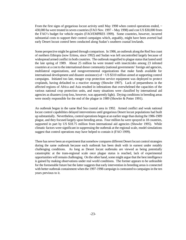From the first signs of gregarious locust activity until May 1998 when control operations ended,  $\sim$ 430,000 ha were treated in seven countries (FAO Nov. 1997 – May 1998) and cost US \$30,000 from the FAO's budget for vehicle repairs (FAO/EMPRES 1999). Some countries, however, incurred substantial costs to support their control campaigns which, arguably, might have been averted had early Desert locust control been conducted along Sudan's southern coastal lowlands.

Some perspective might be gained through comparison. In 1986, an outbreak along the Red Sea coast of northern Ethiopia (now Eritrea, since 1992) and Sudan was left uncontrolled largely because of widespread armed conflict in both countries. The outbreak magnified to plague status that lasted until the late spring of 1989. About 25 million ha were treated with insecticides among 23 infested countries at a cost to the international donor community (national governments' foreign aid agencies, multilateral organizations, and nongovernmental organizations that make funds available for international development and disaster assistance) of ~ US \$310 million aimed at supporting control campaigns. Initiated too late, meager crop protection service equipment was deployed to protect croplands, having defaulted to a reactive strategy (Showler 1997). Lack of preparedness in the affected regions of Africa and Asia resulted in infestations that overwhelmed the capacities of the various national crop protection units, and many situations were classified by international aid agencies as disasters (crop loss, however, was apparently light). Drying conditions in breeding areas were mostly responsible for the end of the plague in 1989 (Showler & Potter 1991).

An outbreak began in the same Red Sea coastal area in 1992. Armed conflict and weak national locust control capabilities delayed interventions until gregarious Desert locust populations had built up substantially. Nevertheless, control operations began at an earlier stage than during the 1986-1989 plague, and they focused largely upon breeding areas. Four million ha were sprayed in 18 countries, supported in part by US \$18.75 million from international aid agencies (Showler 1995). While climatic factors were significant in suppressing the outbreak at the regional scale, model simulations suggest that control operations may have helped to contain it (FAO 1999).

There has never been an experiment that somehow compares different Desert locust control strategies during the same outbreak because each outbreak has been dealt with in earnest under notably challenging conditions. As long as Desert locust outbreaks are viewed as being potentially catastrophic at the trans-regional scale once plague status is reached, lack of experimental opportunities will remain challenging. On the other hand, some might argue that the best intelligence is gained by making observations under real world conditions. The former appears to be unfeasible for the foreseeable future but the latter suggests that early intervention in breeding areas is connected with better outbreak containment when the 1997-1998 campaign is contrasted to campaigns in the ten years previous to it.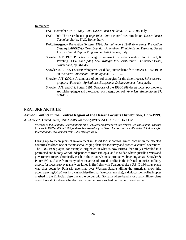#### References

- FAO. November 1997 May 1998. *Desert Locust Bulletin*. FAO, Rome, Italy.
- FAO. 1999. The desert locust upsurge 1992-1994: a control-free simulation. *Desert Locust Technical Series*, FAO, Rome, Italy.
- FAO/Emergency Prevention System. 1999. *Annual report 1998 Emergency Prevention System (EMPRES) for Transboundary Animal and Plant Pests and Diseases*, Desert Locust Central Region Programme. FAO, Rome, Italy.
- Showler, A.T. 1997. Proaction: strategic framework for today's reality. In: S. Krall, R. Peveling, D. Ba Diallo (eds.), *New Strategies for Locust Control*. Birkhäuser, Basel, Switzerland, pp. 461-465.
- Showler, A.T. 1995. Locust (Orthoptera: Acrididae) outbreak in Africa and Asia, 1992-1994: an overview. *American Entomologist* **41**: 179-185.
- Showler, A.T. (2001). A summary of control strategies for the desert locust, *Schistocerca gregaria* (Forskål). *Agriculture, Ecosystems & Environment* (accepted).
- Showler, A.T. and C.S. Potter. 1991. Synopsis of the 1986-1989 desert locust (Orthoptera: Acrididae) plague and the concept of strategic control. *American Entomologist* **37**: 106-110.

### **FEATURE ARTICLE**

#### **Armed Conflict in the Central Region of the Desert Locust's Distribution, 1997-1999.**

*A. Showler*\*, United States, USDA-ARS, ashowler@WESLACO.ARS.USDA.GOV

*\* Served as the Regional Coordinator for the FAO/Emergency Prevention System Central Region Program from early 1997 until late 1999, and worked extensively on Desert locust control while at the U.S. Agency for International Development from 1988 through 1996.* 

During my fourteen years of involvement in Desert locust control, armed conflict in the affected countries has been one of the most challenging obstacles to survey and proactive control operations. The 1986-1989 plague, for example, originated in what is now Eritrea, then fully embroiled in a protracted and bloody war of independence from Ethiopia, and in Sudan where guerilla armies and government forces chronically clash in the country's most productive breeding areas (Showler & Potter 1991). Aside from many other instances of armed conflict in the infested countries, military escorts for locust survey teams were killed in firefights with Tuareg rebels; a U.S. C-130 spray plane was shot down by Polisario guerrillas over Western Sahara killing the American crew (the accompanying C-130 was hit by a shoulder-fired surface-to-air missile); and a locust control helicopter crashed in the Ethiopian desert near the border with Somalia where bandits or quasi-military clans could have shot it down (the dead and wounded were robbed before help could arrive).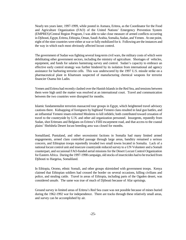Nearly ten years later, 1997-1999, while posted in Asmara, Eritrea, as the Coordinator for the Food and Agriculture Organization (FAO) of the United Nations' Emergency Prevention System (EMPRES)/Central Region Program, I was able to take close measure of armed conflicts occurring in Djibouti, Egypt, Eritrea, Ethiopia, Oman, Saudi Arabia, Somalia, Sudan, and Yemen. At one point, eight of the nine countries were either at war or fully mobilized for it. Following are the instances and the way in which each most obviously affected locust control.

The government of Sudan was fighting several long-term civil wars, the military costs of which were debilitating other government sectors, including the ministry of agriculture. Shortages of vehicles, equipment, and funds for salaries hamstrung survey and control. Sudan's capacity to embrace an effective early control strategy was further hindered by its isolation from international aid agency assistance for harboring terrorist cells. This was underscored by the 1997 U.S. missile strike on a pharmaceutical plant in Khartoum suspected of manufacturing chemical weapons for terrorist financier Osama bin Ladin.

Yemen and Eritrea had recently clashed over the Hanish Islands in the Red Sea, and tensions between them were high until the matter was resolved at an international court. Travel and communication between the two countries were disrupted for months.

Islamic fundamentalist terrorists massacred tour groups in Egypt, which heightened travel advisory cautions there. Kidnapping of foreigners by highland Yemeni clans resulted in fatal gun battles, and an influential Yemeni imam exhorted Moslems to kill infidels; both contributed toward cessation of travel to the countryside by U.N. and other aid organization personnel. Insurgents, reputedly from Sudan, shot Eritreans and Belgians on Eritrea's Filfil escarpment road, and that access to the coastal plains' Shelshela Desert locust breeding area was closed for months.

Somaliland, Puntaland, and other secessionist factions in Somalia had many limited armed engagements, armed clans controlled passage through large areas, banditry remained a serious concern, and Ethiopian troops reportedly invaded two small towns located in Somalia. Lack of a national locust control unit and insecure countryside reduced survey to a UN Volunteer and a Somali counterpart, and occasional FAO-funded aerial missions for the Desert Locust Control Organization for Eastern Africa. During the 1997-1998 campaign, old stocks of insecticides had to be trucked from Djibouti to Hargeisa, Somaliland.

In Ethiopia, Oromo, ethnic Somali, and other groups skirmished with government troops. Kenya claimed that Ethiopian soldiers had crossed the border on several occasions, killing civilians and police, and stealing cattle. Travel in areas of Ethiopia, including parts of the Ogaden desert, was considered unsafe. The same was true of much of Djibouti because of Afar uprisings.

Ground survey in limited areas of Eritrea's Red Sea coast was not possible because of mines buried during the 1962-1992 war for independence. There are tracks through these relatively small areas, and survey can be accomplished by air.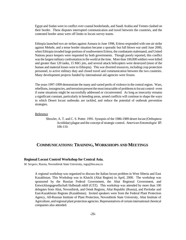Egypt and Sudan were in conflict over coastal borderlands, and Saudi Arabia and Yemen clashed on their border. These disputes interrupted communication and travel between the countries, and the contested border areas were off limits to locust survey teams.

Ethiopia launched two air strikes against Asmara in June 1998, Eritrea responded with one air strike against Mekele, and a tense border situation became a sporadic but full blown war until June 2000, when Ethiopia invaded large portions of southwestern Eritrea, the combatants stalemated, and United Nations peace keepers were requested by both governments. Though poorly reported, this conflict was the largest military confrontation in the world at the time. More than 100,000 soldiers were killed and greater than 120 tanks, 15 MiG jets, and several attack helicopters were destroyed (most of the human and material losses were to Ethiopia). This war diverted resources, including crop protection personnel, to active military duty and closed travel and communication between the two countries. Many development projects funded by international aid agencies were frozen.

The years 1997-1999 demonstrate the many and varied perils of violence in the central region. Wars, rebellions, insurgencies, and terrorism present the most intractable of problems to locust control - even if some situations might be successfully addressed or circumvented. As long as insecurity remains a significant constant, particularly in breeding areas, armed conflicts will continue to shape the ways in which Desert locust outbreaks are tackled, and reduce the potential of outbreak prevention strategies.

#### Reference

Showler, A. T. and C. S. Potter. 1991. Synopsis of the 1986-1989 desert locust (Orthoptera: Acrididae) plague and the concept of strategic control. *American Entomologist* **37**: 106-110.

# **COMMUNICATIONS: TRAINING, WORKSHOPS AND MEETINGS**

#### **Regional Locust Control Workshop for Central Asia.**

*M. Sergeev*, Russia, Novosibirsk State University, mgs@fen.nsu.ru

A regional workshop was organized to discuss the Italian locust problem in West Siberia and East Kazakhstan. This Workshop was in Klutchi (Altai Region) in April, 2000. The workshop was sponsored by the Russian Federal Government, the Altai Regional Government, and Entwicklungsgesellschaft Halbstadt mbH (GTZ). This workshop was attended by more than 100 delegates from Altai, Novosibirsk, and Omsk Regions, Altai Republic (Russia), and Pavlodar and East-Kazakhstan Regions (Kazakhstan). Invited speakers were from the Federal Plant Protection Agency, All-Russian Institute of Plant Protection, Novosibirsk State University, Altai Institute of Agriculture, and regional plant protection agencies. Representatives of certain international chemical companies also attended.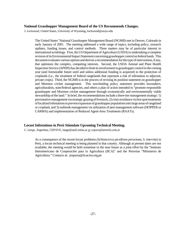#### **National Grasshopper Management Board of the US Recommends Changes.**

*J. Lockwood*, United States, University of Wyoming, lockwood@uwyo.edu

The United States' National Grasshopper Management Board (NGMB) met in Denver, Colorado in early January of 2001. The meeting addressed a wide range of topics, including policy, research updates, funding issues, and control methods. Three matters may be of particular interest to international acridology. First, the US Department of Agriculture (USDA) is undertaking a complete revision of its Environmental Impact Statement concerning grasshopper control on federal lands. This document evaluates various options and derives a recommendation for the type of intervention, if any, that optimizes the complex, competing interests. Second, the USDA Animal and Plant Health Inspection Service (APHIS) has decided to limit its involvement in grasshopper control in the coming year (and foreseeable future until and unless additional funding is acquired) to the protection of croplands (i.e., the treatment of federal rangelands that represent a risk of infestation to adjacent, private crops). Third, the NGMB is in the process of revising its position statement on grasshopper and Mormon cricket management. This non-binding policy statement provides lawmakers, agriculturalists, state/federal agencies, and others a plan of action intended to "promote responsible grasshopper and Mormon cricket management through economically and environmentally viable stewardship of the land." In brief, the recommendations include a three-tier management strategy: 1) preventative management via strategic grazing of livestock, 2) crisis avoidance via hot-spot treatments of localized infestations to prevent expansion of grasshopper populations into large areas of rangeland or cropland, and 3) outbreak management via utilization of pest management software (HOPPER or CARMA) and implementation of Reduced Agent-Area Treatments (RAATs).

#### **Locust Infestations in Perú Stimulate Upcoming Technical Meeting.**

*C. Lange,* Argentina, CEPAVE, lange@mail.retina.ar *or* cepave@netverk.com.ar

As a consequence of the recent locust problems (*Schistocerca piceifrons peruviana*, *S. interrita*) in Perú, a locust technical meeting is being planned in that country. Although at present dates are not available, the meeting would be held sometime in the near future as a joint effort by the "Instituto Interamericano de Cooperación para la Agricultura (IICA)" and the Peruvian "Ministerio de Agricultura." Contacts at: jesparza@iicacrea.org.pe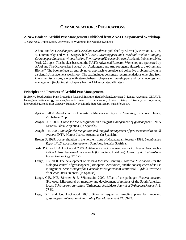# **COMMUNICATIONS: PUBLICATIONS**

#### **A New Book on Acridid Pest Management Published from AAAI Co-Sponsored Workshop.**

*J. Lockwood*, United States, University of Wyoming, lockwood@uwyo.edu

A book entitled *Grasshoppers and Grassland Health* was published by Kluwer (Lockwood, J. A., A. V. Latchininsky, and M. G. Sergeev [eds.]. 2000. *Grasshoppers and Grassland Health: Managing Grasshopper Outbreaks without Risking Environmental Disaster*. Kluwer Academic Publishers, New York, 221 pp.). This book is based on the NATO Advanced Research Workshop (co-sponsored by AAAI and The Orthopterists Society) on "Acridogenic and Anthropogenic Hazards to the Grassland Biome." The book reflects an entirely novel approach to creative and collective problem-solving in a scientific/management workshop. The text includes consensus recommendations emerging from intensive discussions, along with state-of-the-art chapters on grasshopper and locust ecology and management (including six chapters from AAAI associates/affiliates).

#### **Principles and Practices of Acridid Pest Management.**

*R. Brown*, South Africa, Plant Protection Research Institute, rietdb@plant2.agric.za; C. Lange, Argentina, CEPAVE, lange@mail.retina.ar *or* cepave@netverk.com.ar; *J. Lockwood*, United States, University of Wyoming, lockwood@uwyo.edu; *M. Sergeev*, Russia, Novosibirsk State University, mgs@fen.nsu.ru

- Agricair, 2000. Aerial control of locusts in Madagascar. *Agricair Marketing Brochure*, Harare, Zimbabwe, 23 pp.
- Aragón, J.R. 2000. *Guide for the recognition and integral management of grasshoppers*. INTA Marcos Juárez, Argentina. (In Spanish).
- Aragón, J.R. 2000. *Guide for the recognition and integral management of pest associated to no till systems*. INTA Marcos Juárez, Argentina. (In Spanish).
- Brown D, 1999. Locust situation in the northern zone of Madagascar: February 1999. *Unpublished Report No.5*, *Locust Management Solutions*, Pretoria. S.Africa.
- Joshi, P. C. and J. A. Lockwood. 2000. Antifeedent effect of aqueous extract of Neem (Azadirachta indica A. Juss) leaves on Oxya veloxF. (Orthoptera: Acrididae). *Journal of Agricultural and Forest Entomology* **17**: 1-6.
- Lange, C.E. 2000. The development of *Nosema locustae* Canning (Protozoa: Microspora) for the biological control of grasshoppers (Orthoptera: Acridoidea) and the consequences of its use in Argentina. *Serie Monografías, Comisión Investigaciones Científicas (CIC) de la Provincia de Buenos Aires*, in press. (In Spanish).
- Lange, C.E., N.E. Sánchez & E. Wittenstein. 2000. Effect of the pathogen *Nosema locustae* (Protozoa: Microspora) on mortality and development of nymphs of the South American locust, *Schistocerca cancellata* (Orthoptera: Acrididae). *Journal of Orthoptera Research*, **9**: 77-80.
- Legg, D.E. and J.A. Lockwood. 2001. Binomial sequential sampling plans for rangeland grasshoppers. *International Journal of Pest Management* **47**: 69-73.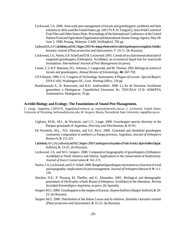- Lockwood, J.A. 2000. Area-wide pest management of locusts and grasshoppers: problems and their solutions in Africa and the United States, pp. 169-179. K. H. Teng [ed.], Area-Wide Control of Fruit Flies and Other Insect Pests. Proceedings of the International Conference of the United Nations Food and Agriculture Organization and International Atomic Energy Agency, May 28- June 2, 1998, Penang, Malaysia. CABI, Wallingford, 782 pp.
- Lockwood J.A., A.V. Latchininsky, and M.G. Sergeev. 2000. New strategy of treatments for control of grasshoppers on rangelands. *Zastshita i karantin rastenii* (*Plant protection and Quarantine*). **7**: 10-11. (In Russian).
- Lockwood, J.A., Narisu, S.P. Schell and D.R. Lockwood. 2001. Canola oil as a kairomonal attractant of rangeland grasshoppers (Orthoptera: Acrididae): an economical liquid bait for insecticide formulation. *International Journal of Pest Management* (in press).
- Lomer, C.J, R.P. Bateman, D.L. Johnson, J. Langewald, and M. Thomas. 2001 Biological control of locusts and grasshoppers. *Annual Review of Entomology*, **46**: 667-702.
- OTA Report, 1990. U.S. Congress of Technology Assessment, *A Plague of Locusts Special Report, OTA-F-450*, Washington DC, Govt. Printing Office, 129 pp.
- Randrianasolo E., R. Ratovoson, and R.D. Andriambelo. 2000. La fin de l'invasion Acridienne generalisee a Madagascar. *Unpublished Document No. 750/CNLA/ CCA/ ADM/PVA*, Antananarivo, Madagascar, 10 pp.

#### **Acridid Biology and Ecology: The Foundations of Sound Pest Management.**

*C. Lange,* Argentina, CEPAVE, lange@mail.retina.ar *or* cepave@netverk.com.ar; *J. Lockwood*, United States, University of Wyoming, lockwood@uwyo.edu; *M. Sergeev*, Russia, Novosibirsk State University, mgs@fen.nsu.ru

- Cigliano, M.M., M.L. de Wysiecki, and C.C. Lange. 2000. Grasshopper species diversity in the Pampas grasslands of Argentina. *Diversity and Distributions*, **6**: 81-91.
- De Wysiecki, M.L., N.E. Sánchez, and S.E. Ricci. 2000. Grassland and shrubland grasshopper community composition in northern La Pampa province, Argentina. *Journal of Orhtoptera Research*, **9**: 211-221.
- Latchininsky A.V., J.A. Lockwood, and M.G. Sergeev. 2000. Grasshoppers in the prairies of North America. *Stepnoi bulleten* (*Steppic bulletin*), **6**: 23-25. (In Russian).
- Lockwood, J.A. and M.G. Sergeev. 2000. Comparative biogeography of grasshoppers (Orthoptera: Acrididae) in North America and Siberia: Applications to the conservation of biodiversity. *Journal of Insect Conservation* **4**: 161-172.
- Narisu, J.A. Lockwood, and S.P. Schell. 2000. Rangeland grasshopper movement as a function of wind and topography: implications for pest management. *Journal of Orthoptera Research* **9**: 111- 120.
- Sánchez, N.E., P. Pessacq, M. Theiller, and G. Almandoz. 2001. Biological and demographic parameters of *Dichroplus schulzi* Bruner (Orthoptera: Acrididae) in the laboratory. *Revista Sociedad Entomológica Argentina*, in press. (In Spanish).
- Sergeev M.G. 2000. Grasshoppers in the steppes of Eurasia. *Stepnoi bulleten* (*Steppic bulletin*), **6**: 20- 23. (In Russian).
- Sergeev M.G. 2000. Distribution of the Italian Locust and its relatives. *Zastshita i karantin rastenii* (*Plant protection and Quarantine*). **6**: 21-22. (In Russian).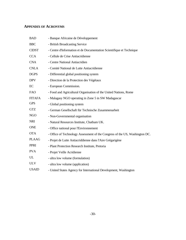# **APPENDIX OF ACRONYMS**

| <b>BAD</b>    | - Banque Africaine de Développement                                         |
|---------------|-----------------------------------------------------------------------------|
| <b>BBC</b>    | - British Broadcasting Service                                              |
| <b>CIDST</b>  | - Centre d'Information et de Documentation Scientifique et Technique        |
| <b>CCA</b>    | - Cellule de Crise Antiacridienne                                           |
| <b>CNA</b>    | - Centre National Antiacridien                                              |
| <b>CNLA</b>   | - Comité National de Lutte Antiacridienne                                   |
| <b>DGPS</b>   | - Differential global positioning system                                    |
| <b>DPV</b>    | - Direction de la Protection des Végétaux                                   |
| EC            | - European Commission.                                                      |
| <b>FAO</b>    | - Food and Agricultural Organisation of the United Nations, Rome            |
| <b>FITAFA</b> | - Malagasy NGO operating in Zone 5 in SW Madagascar                         |
| <b>GPS</b>    | - Global positioning system                                                 |
| <b>GTZ</b>    | - German Gesellschaft für Technische Zusammenarbeit                         |
| <b>NGO</b>    | - Non-Governmental organisation                                             |
| <b>NRI</b>    | - Natural Resources Institute, Chatham UK.                                  |
| <b>ONE</b>    | - Office national pour l'Environnement                                      |
| <b>OTA</b>    | - Office of Technology Assessment of the Congress of the US, Washington DC. |
| <b>PLAAG</b>  | - Projet de Lutte Antiacriddienne dans l'Aire Grégarigène                   |
| <b>PPRI</b>   | - Plant Protection Research Institute, Pretoria                             |
| <b>PVA</b>    | - Projet Veille Acridienne                                                  |
| UL            | - ultra low volume (formulation)                                            |
| <b>ULV</b>    | - ultra low volume (application)                                            |
| <b>USAID</b>  | - United States Agency for International Development, Washington            |
|               |                                                                             |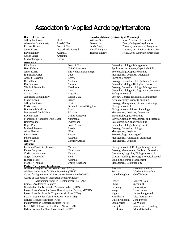# Association for Applied Acridology International

**Board of Directors Board of Advisors (University of Wyoming)**<br>
Jeffrey Lockwood USA William Gern Vice-President of Advisors (University of Wyoming) Jeffrey Lockwood USA William Gern Vice-President of Research Alexandre Latchininsky Russia/USA Steven Horn Dean, College of Agriculture Richard Brown South Africa Lewis Bagby Director, International Programs James Everts Netherlands/Senegal Harold Bergman Director, Inst. Environ. & Nat. Res. David Hunter Australia Thomas Thurow Head, Dept. Renewable Resources Carlos Lange Argentina Michael Sergeev Russia **Associates**  Dick Brown R. Nelson Foster Ahmed Hassanali Vladimir Kambulin Carlos Lange Alexandre Latchinins Michel Lecoq Jeffrey Lockwood Chris Lomer Bonifacio Magalhaes Mohammed Din Moh Mohammed Abdellah Ralf Peveling Michael Sergeev Allan Showler Igor Sokolov Peter Spurgin Hans Wilps<br>**Affiliates** Ludivina Barrientos l Furkat Gapparov Christiaan Kooyman Jurgen Langewald Richard Milner Matthew Thomas All-Russian Institute

| Dick Brown                                                                     | South Africa            | General acridology, Management                 |                                            |
|--------------------------------------------------------------------------------|-------------------------|------------------------------------------------|--------------------------------------------|
| Hans Dobson                                                                    | United Kingdom          |                                                | Application techniques, Capacity building  |
| <b>James Everts</b>                                                            | The Netherlands/Senegal | Ecotoxicology, Capacity building               |                                            |
| R. Nelson Foster                                                               | <b>USA</b>              | Management, Logistics, Operations              |                                            |
| Ahmed Hassanali                                                                | Kenya                   | Chemical ecology                               |                                            |
| David Hunter                                                                   | Australia               |                                                | Ecology, General acridology, Management    |
| Dan Johnson                                                                    | Canada                  | General acridology, Biological control         |                                            |
| Vladimir Kambulin                                                              | Kazakhstan              |                                                | Ecology, General acridology, Management    |
| Le Kang                                                                        | China                   |                                                | General acridology, Ecology and management |
| Carlos Lange                                                                   | Argentina               | Biological control                             |                                            |
| Alexandre Latchininsky                                                         | Russia/USA              |                                                | Ecology, General acridology, Management    |
| Michel Lecoq                                                                   | France                  | Acridid ecology, Capacity building             |                                            |
| Jeffrey Lockwood                                                               | <b>USA</b>              |                                                | Ecology, Management, General acridology    |
| Chris Lomer                                                                    | Denmark/United Kingdom  | Biological control                             |                                            |
| <b>Bonifacio Magalhaes</b>                                                     | <b>Brazil</b>           | Biological control, Insect Pathology           |                                            |
| Mohammed Din Mohsin                                                            | Pakistan                | Management, Logistics, Operations              |                                            |
| David Moore                                                                    | <b>United Kingdom</b>   | Biocontrol, Capacity building                  |                                            |
| Mohammed Abdellahi Ould Babah                                                  | Mauritania              |                                                | Survey, Campaign management and strategies |
| <b>Ralf Peveling</b>                                                           | Switzerland             | Ecotoxicology, Capacity building               |                                            |
| Roger Price                                                                    | South Africa            | General acridology, Management                 |                                            |
| Michael Sergeev                                                                | Russia                  | Ecology, General acridology                    |                                            |
| Allan Showler                                                                  | <b>USA</b>              | Management, Logistics                          |                                            |
| Igor Sokolov                                                                   | Russia                  | Ecotoxicology (non-targets)                    |                                            |
| Peter Spurgin                                                                  | Australia               | Management, Application techniques             |                                            |
| Hans Wilps                                                                     | Germany/Africa          | Management, Logistics                          |                                            |
| <b>Affiliates</b>                                                              |                         |                                                |                                            |
| Ludivina Barrientos Lozano                                                     | Mexico                  |                                                | Biological control, Ecology, Management    |
| <b>Furkat Gapparov</b>                                                         | Uzbekistan              |                                                | Ecology, Management, Logistics, Operations |
| Christiaan Kooyman                                                             | Kenya                   | Operations, Logistics, Biological control      |                                            |
| Jurgen Langewald                                                               | Benin                   | Capacity building, Surveyg, Biological control |                                            |
| <b>Richard Milner</b>                                                          | Australia               | Biological control, Management                 |                                            |
| <b>Matthew Thomas</b>                                                          | United Kingdom          | Management, Ecotoxicology                      |                                            |
| Partner/Participant Institutions<br>Australian Plague Locust Commission (APLC) |                         |                                                |                                            |
|                                                                                |                         | Australia                                      | Graeme Hamilton                            |
| All-Russian Institute for Plant Protection (VIZR)                              |                         | Russia                                         | Vladimir Pavliushin                        |
| Centre for Agriculture and Biosciences International (CABI)                    |                         | United Kingdom                                 | Geoff Waage                                |
| Centre de Cooperation Internationale en Recherche                              |                         |                                                |                                            |
| Agronomique pour le Developpement (CIRAD)                                      |                         | France                                         | Vincent Dolle                              |
| Chinese Academy of Sciences                                                    |                         | China                                          | (pending)                                  |
| Gesselschaft fur Technische Zusammenarbeit (GTZ)                               |                         | Germany                                        | Hans Wilps                                 |
| International Centre for Insect Physiology and Ecology (ICIPE)                 |                         | Kenya                                          | Hans Herren                                |
| International Institute for Tropical Agriculture (IITA)                        |                         | Nigeria                                        | Jurgen Langewald                           |
| Kazakh Institute for Plant Protection (KazNIIZR)                               |                         | Kazakhstan                                     | Tleu Nurmuratov                            |
| Natural Resources Institute (NRI)                                              |                         | United Kingdom                                 | John Perfect                               |
| Plant Protection Research Institute (PPRI)                                     |                         | South Africa                                   | M. Walters                                 |
| LOCUSTOX Project of the United Nations FAO                                     |                         | Senegal                                        | James Everts (pending)                     |

Uzbek Institute for Plant Protection (UzNIIZR) Uzbekistan Murod Rashidov